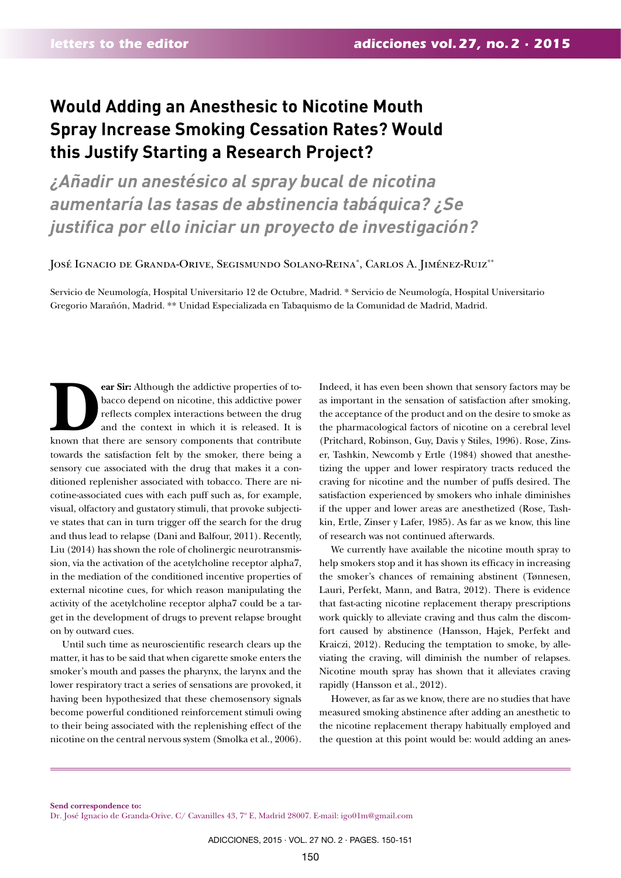## **Would Adding an Anesthesic to Nicotine Mouth Spray Increase Smoking Cessation Rates? Would this Justify Starting a Research Project?**

*¿Añadir un anestésico al spray bucal de nicotina aumentaría las tasas de abstinencia tabáquica? ¿Se justifica por ello iniciar un proyecto de investigación?*

José Ignacio de Granda-Orive, Segismundo Solano-Reina\* , Carlos A. Jiménez-Ruiz\*\*

Servicio de Neumología, Hospital Universitario 12 de Octubre, Madrid. \* Servicio de Neumología, Hospital Universitario Gregorio Marañón, Madrid. \*\* Unidad Especializada en Tabaquismo de la Comunidad de Madrid, Madrid.

**Pear Sir:** Although the addictive properties of to-<br>bacco depend on nicotine, this addictive power<br>reflects complex interactions between the drug<br>and the context in which it is released. It is<br>known that there are sensory bacco depend on nicotine, this addictive power reflects complex interactions between the drug and the context in which it is released. It is towards the satisfaction felt by the smoker, there being a sensory cue associated with the drug that makes it a conditioned replenisher associated with tobacco. There are nicotine-associated cues with each puff such as, for example, visual, olfactory and gustatory stimuli, that provoke subjective states that can in turn trigger off the search for the drug and thus lead to relapse (Dani and Balfour, 2011). Recently, Liu (2014) has shown the role of cholinergic neurotransmission, via the activation of the acetylcholine receptor alpha7, in the mediation of the conditioned incentive properties of external nicotine cues, for which reason manipulating the activity of the acetylcholine receptor alpha7 could be a target in the development of drugs to prevent relapse brought on by outward cues.

Until such time as neuroscientific research clears up the matter, it has to be said that when cigarette smoke enters the smoker's mouth and passes the pharynx, the larynx and the lower respiratory tract a series of sensations are provoked, it having been hypothesized that these chemosensory signals become powerful conditioned reinforcement stimuli owing to their being associated with the replenishing effect of the nicotine on the central nervous system (Smolka et al., 2006).

Indeed, it has even been shown that sensory factors may be as important in the sensation of satisfaction after smoking, the acceptance of the product and on the desire to smoke as the pharmacological factors of nicotine on a cerebral level (Pritchard, Robinson, Guy, Davis y Stiles, 1996). Rose, Zinser, Tashkin, Newcomb y Ertle (1984) showed that anesthetizing the upper and lower respiratory tracts reduced the craving for nicotine and the number of puffs desired. The satisfaction experienced by smokers who inhale diminishes if the upper and lower areas are anesthetized (Rose, Tashkin, Ertle, Zinser y Lafer, 1985). As far as we know, this line of research was not continued afterwards.

We currently have available the nicotine mouth spray to help smokers stop and it has shown its efficacy in increasing the smoker's chances of remaining abstinent (Tønnesen, Lauri, Perfekt, Mann, and Batra, 2012). There is evidence that fast-acting nicotine replacement therapy prescriptions work quickly to alleviate craving and thus calm the discomfort caused by abstinence (Hansson, Hajek, Perfekt and Kraiczi, 2012). Reducing the temptation to smoke, by alleviating the craving, will diminish the number of relapses. Nicotine mouth spray has shown that it alleviates craving rapidly (Hansson et al., 2012).

However, as far as we know, there are no studies that have measured smoking abstinence after adding an anesthetic to the nicotine replacement therapy habitually employed and the question at this point would be: would adding an anes-

**Send correspondence to:**  Dr. José Ignacio de Granda-Orive. C/ Cavanilles 43, 7º E, Madrid 28007. E-mail: igo01m@gmail.com

ADICCIONES, 2015 · VOL. 27 NO. 2 · PAGES. 150-151